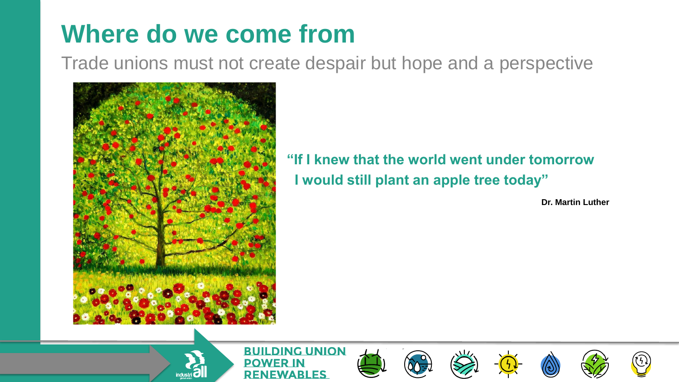### **Where do we come from**

Trade unions must not create despair but hope and a perspective



industri **O** 

**"If I knew that the world went under tomorrow I would still plant an apple tree today"**

**Dr. Martin Luther**

**BUILDING UNION** DO WFR IN **RENEWABLES** 









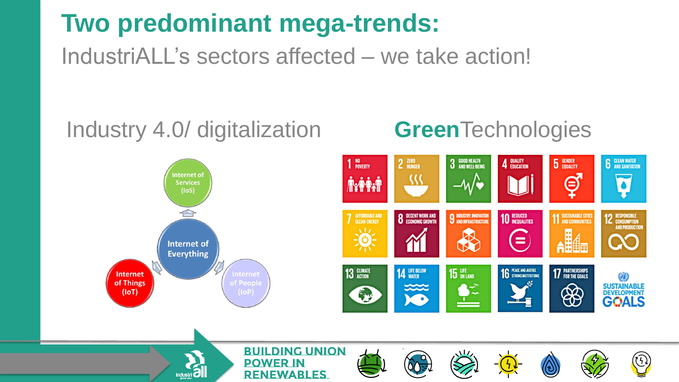### **Two predominant mega-trends:**

IndustriALL's sectors affected – we take action!

**RENEWABLES** 

#### Industry 4.0/ digitalization **Green**Technologies

industri **O** 

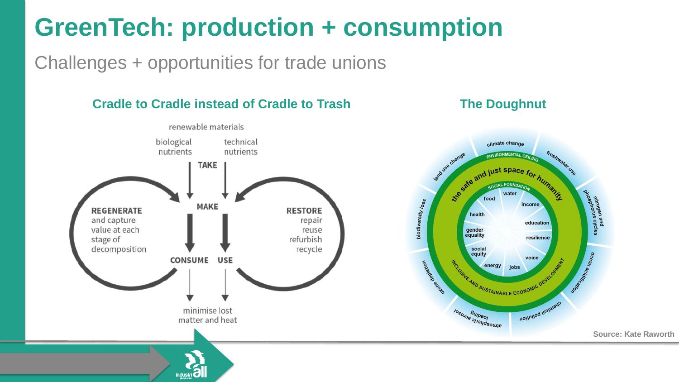# **GreenTech: production + consumption**

Challenges + opportunities for trade unions

industri C

**Cradle to Cradle instead of Cradle to Trash The Doughnut**



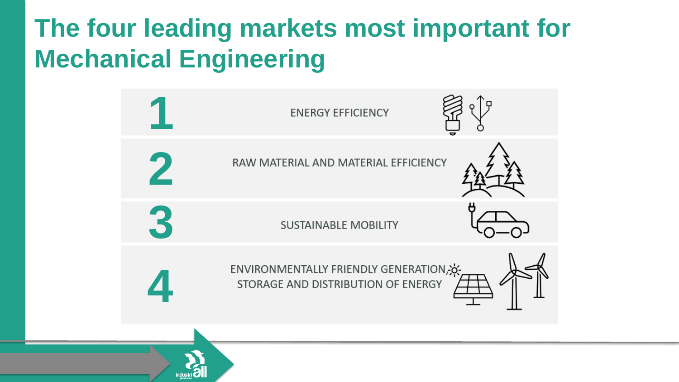# **The four leading markets most important for Mechanical Engineering**

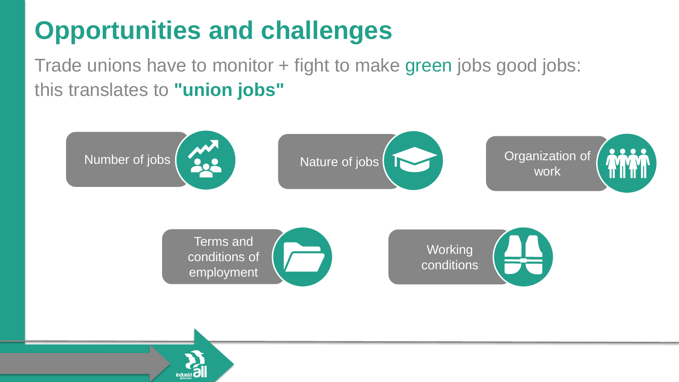# **Opportunities and challenges**

Trade unions have to monitor + fight to make green jobs good jobs: this translates to **"union jobs"**